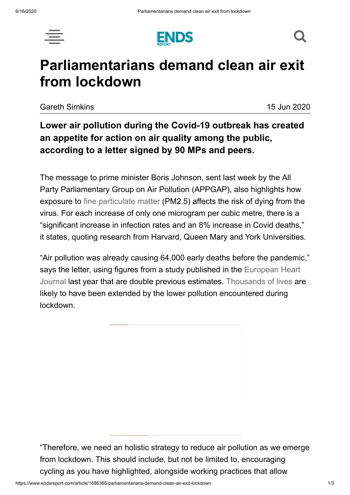





# **Parliamentarians demand clean air exit from lockdown**

Gareth Simkins 15 Jun 2020

# **Lower air pollution during the Covid-19 outbreak has created an appetite for action on air quality among the public, according to a letter signed by 90 MPs and peers.**

The message to prime minister Boris Johnson, sent last week by the All Party Parliamentary Group on Air Pollution (APPGAP), also highlights how exposure to [fine particulate matter](https://www.endsreport.com/article/1681616/coronavirus-air-pollution-7-things-need-know) (PM2.5) affects the risk of dying from the virus. For each increase of only one microgram per cubic metre, there is a "significant increase in infection rates and an 8% increase in Covid deaths," it states, quoting research from Harvard, Queen Mary and York Universities.

"Air pollution was already causing 64,000 early deaths before the pandemic," says the letter, using figures from a study published in the European Heart [Journal last year that are double previous estimates. Thousands of lives ar](https://academic.oup.com/eurheartj/article/40/20/1590/5372326)e likely to have been extended by the lower pollution encountered during lockdown.

"Therefore, we need an holistic strategy to reduce air pollution as we emerge from lockdown. This should include, but not be limited to, encouraging cycling as you have highlighted, alongside working practices that allow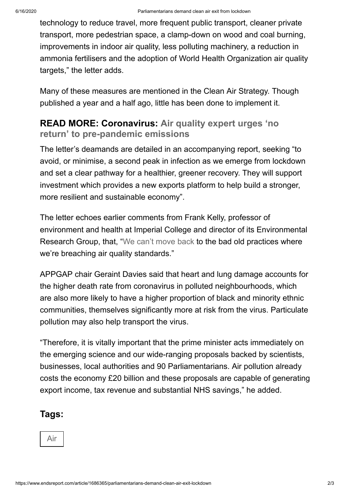technology to reduce travel, more frequent public transport, cleaner private transport, more pedestrian space, a clamp-down on wood and coal burning, improvements in indoor air quality, less polluting machinery, a reduction in ammonia fertilisers and the adoption of World Health Organization air quality targets," the letter adds.

Many of these measures are mentioned in the Clean Air Strategy. Though published a year and a half ago, little has been done to implement it.

## **READ MORE: Coronavirus: Air quality expert urges 'no return' to [pre-pandemic](https://www.endsreport.com/article/1684229/coronavirus-air-quality-expert-urges-no-return-pre-pandemic-emissions) emissions**

The letter's deamands are detailed in an accompanying report, seeking "to avoid, or minimise, a second peak in infection as we emerge from lockdown and set a clear pathway for a healthier, greener recovery. They will support investment which provides a new exports platform to help build a stronger, more resilient and sustainable economy".

The letter echoes earlier comments from Frank Kelly, professor of environment and health at Imperial College and director of its Environmental Research Group, that, ["We can't move back](https://www.endsreport.com/article/1684229/coronavirus-air-quality-expert-urges-no-return-pre-pandemic-emissions) to the bad old practices where we're breaching air quality standards."

APPGAP chair Geraint Davies said that heart and lung damage accounts for the higher death rate from coronavirus in polluted neighbourhoods, which are also more likely to have a higher proportion of black and minority ethnic communities, themselves significantly more at risk from the virus. Particulate pollution may also help transport the virus.

"Therefore, it is vitally important that the prime minister acts immediately on the emerging science and our wide-ranging proposals backed by scientists, businesses, local authorities and 90 Parliamentarians. Air pollution already costs the economy £20 billion and these proposals are capable of generating export income, tax revenue and substantial NHS savings," he added.

#### **Tags:**